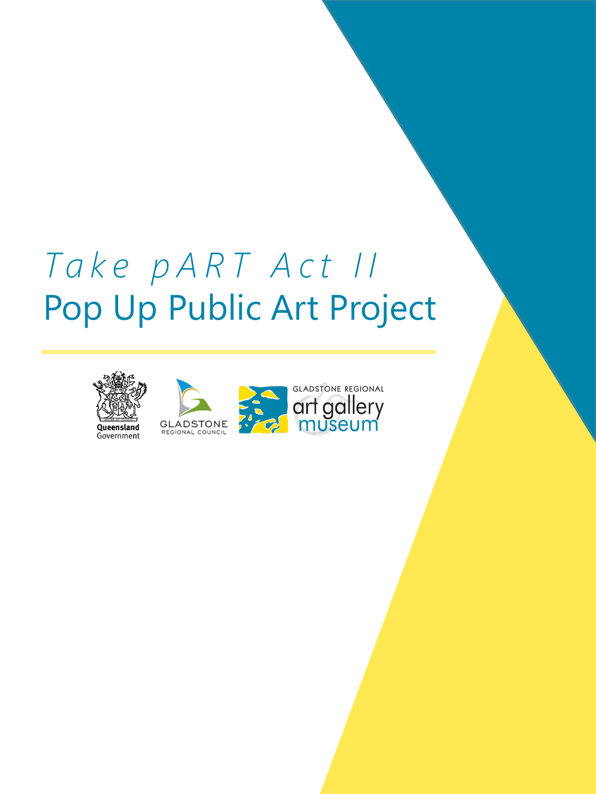## *Take pART Act II* Pop Up Public Art Project







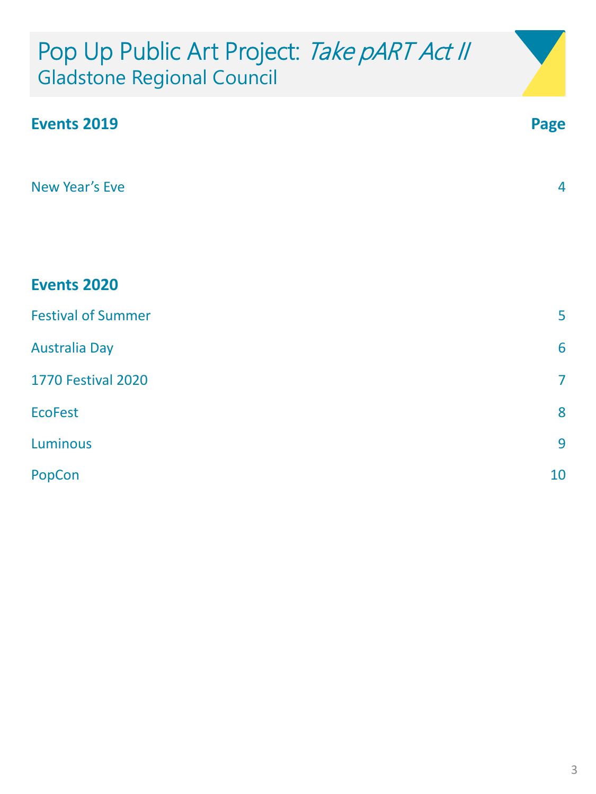## Pop Up Public Art Project: Take pART Act II Gladstone Regional Council

| <b>Events 2019</b>        | Page           |
|---------------------------|----------------|
|                           |                |
| New Year's Eve            | $\overline{4}$ |
|                           |                |
|                           |                |
| <b>Events 2020</b>        |                |
| <b>Festival of Summer</b> | 5              |
| <b>Australia Day</b>      | 6              |
| <b>1770 Festival 2020</b> | $\overline{7}$ |
| <b>EcoFest</b>            | 8              |
| <b>Luminous</b>           | 9              |
| PopCon                    | 10             |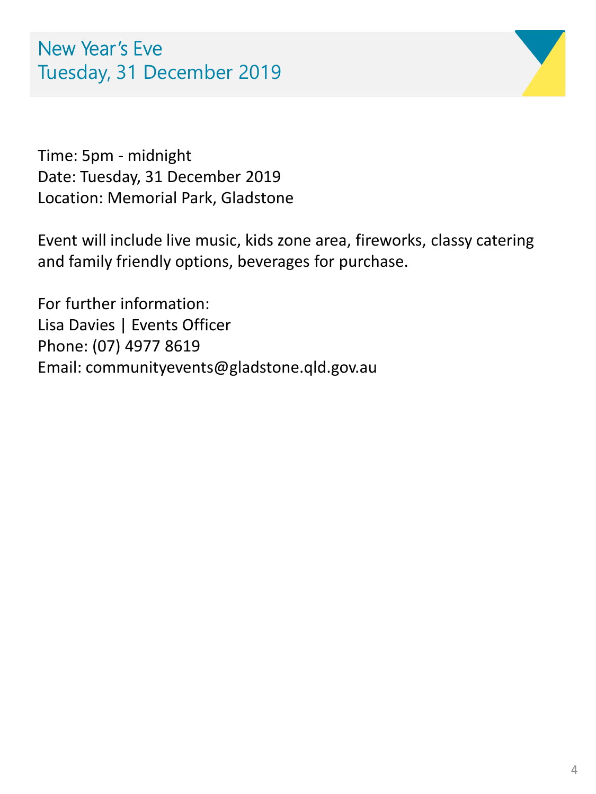

Time: 5pm - midnight Date: Tuesday, 31 December 2019 Location: Memorial Park, Gladstone

Event will include live music, kids zone area, fireworks, classy catering and family friendly options, beverages for purchase.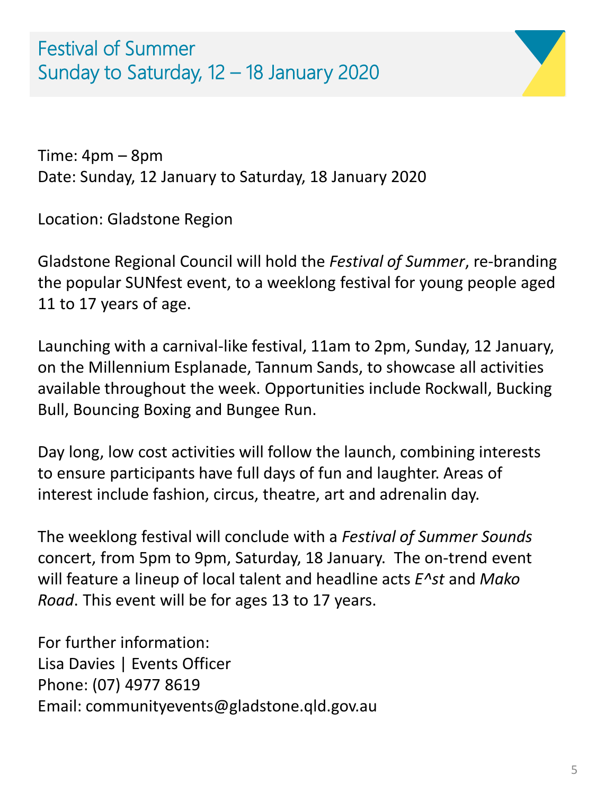Festival of Summer Sunday to Saturday, 12 – 18 January 2020



Time: 4pm – 8pm Date: Sunday, 12 January to Saturday, 18 January 2020

Location: Gladstone Region

Gladstone Regional Council will hold the *Festival of Summer*, re-branding the popular SUNfest event, to a weeklong festival for young people aged 11 to 17 years of age.

Launching with a carnival-like festival, 11am to 2pm, Sunday, 12 January, on the Millennium Esplanade, Tannum Sands, to showcase all activities available throughout the week. Opportunities include Rockwall, Bucking Bull, Bouncing Boxing and Bungee Run.

Day long, low cost activities will follow the launch, combining interests to ensure participants have full days of fun and laughter. Areas of interest include fashion, circus, theatre, art and adrenalin day.

The weeklong festival will conclude with a *Festival of Summer Sounds*  concert, from 5pm to 9pm, Saturday, 18 January. The on-trend event will feature a lineup of local talent and headline acts *E^st* and *Mako Road*. This event will be for ages 13 to 17 years.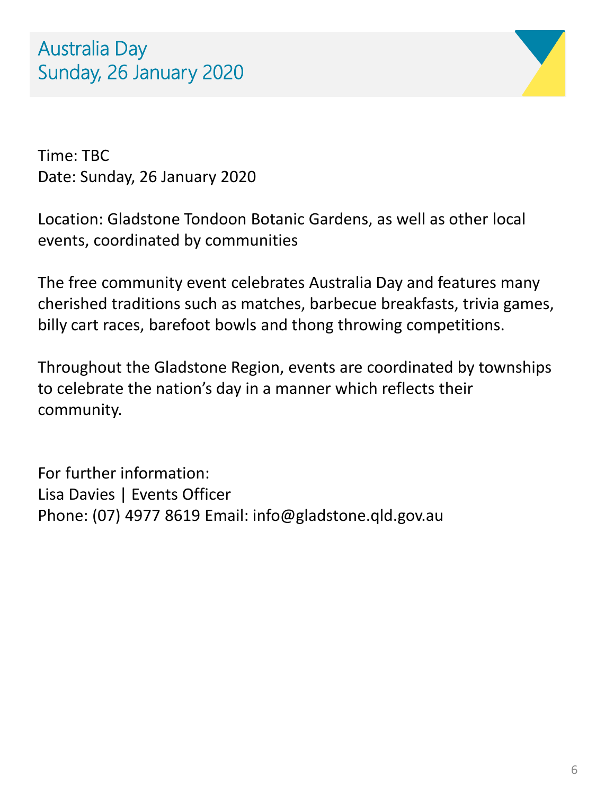

Time: TBC Date: Sunday, 26 January 2020

Location: Gladstone Tondoon Botanic Gardens, as well as other local events, coordinated by communities

The free community event celebrates Australia Day and features many cherished traditions such as matches, barbecue breakfasts, trivia games, billy cart races, barefoot bowls and thong throwing competitions.

Throughout the Gladstone Region, events are coordinated by townships to celebrate the nation's day in a manner which reflects their community.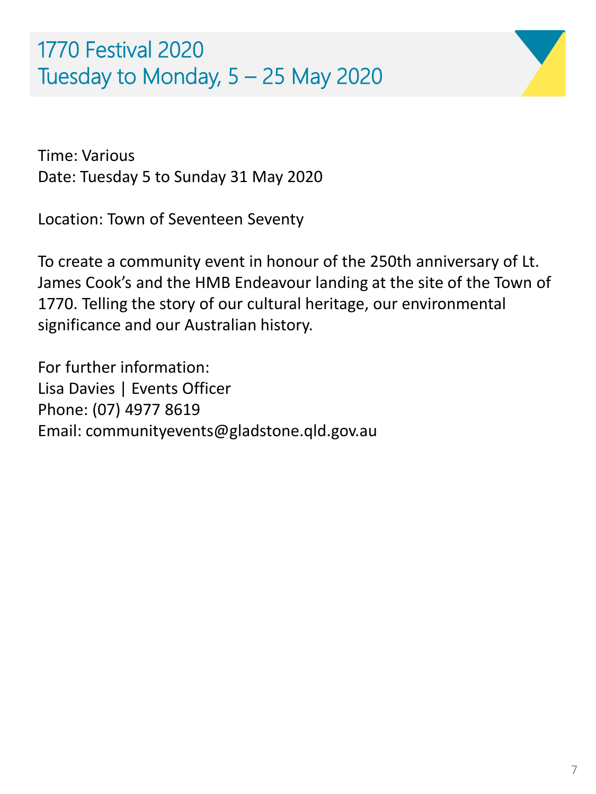



Time: Various Date: Tuesday 5 to Sunday 31 May 2020

Location: Town of Seventeen Seventy

To create a community event in honour of the 250th anniversary of Lt. James Cook's and the HMB Endeavour landing at the site of the Town of 1770. Telling the story of our cultural heritage, our environmental significance and our Australian history.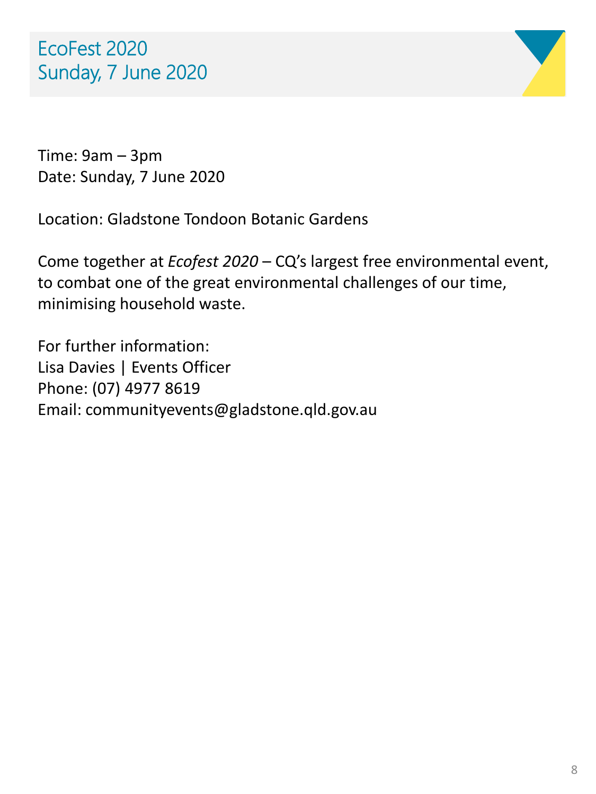

Time: 9am – 3pm Date: Sunday, 7 June 2020

Location: Gladstone Tondoon Botanic Gardens

Come together at *Ecofest 2020* – CQ's largest free environmental event, to combat one of the great environmental challenges of our time, minimising household waste.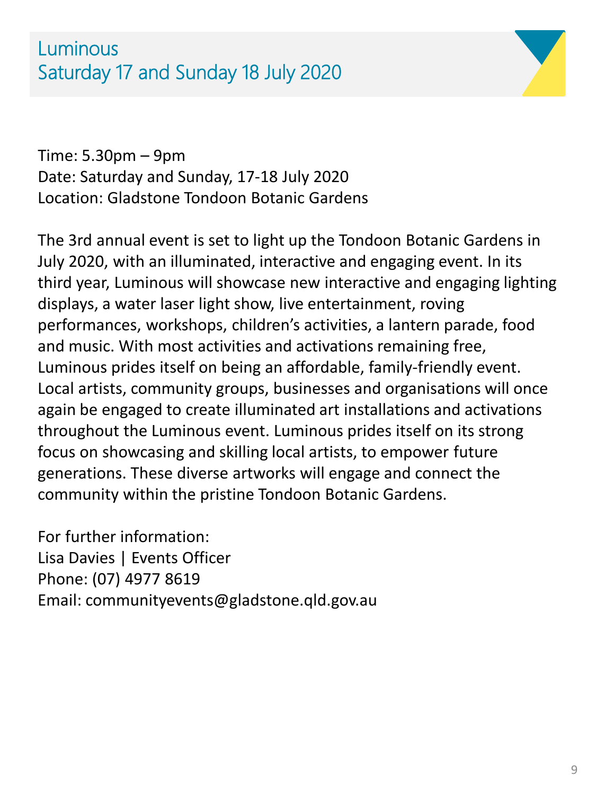

Time: 5.30pm – 9pm Date: Saturday and Sunday, 17-18 July 2020 Location: Gladstone Tondoon Botanic Gardens

The 3rd annual event is set to light up the Tondoon Botanic Gardens in July 2020, with an illuminated, interactive and engaging event. In its third year, Luminous will showcase new interactive and engaging lighting displays, a water laser light show, live entertainment, roving performances, workshops, children's activities, a lantern parade, food and music. With most activities and activations remaining free, Luminous prides itself on being an affordable, family-friendly event. Local artists, community groups, businesses and organisations will once again be engaged to create illuminated art installations and activations throughout the Luminous event. Luminous prides itself on its strong focus on showcasing and skilling local artists, to empower future generations. These diverse artworks will engage and connect the community within the pristine Tondoon Botanic Gardens.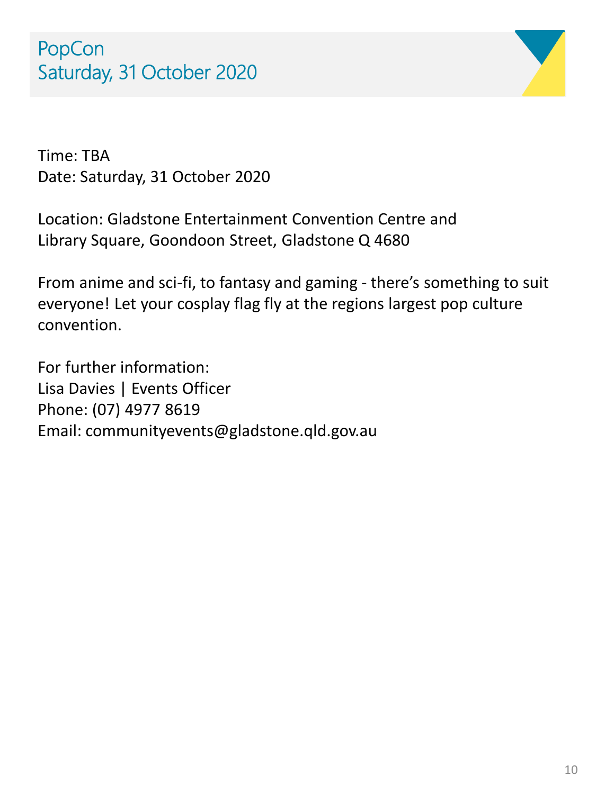

Time: TBA Date: Saturday, 31 October 2020

Location: Gladstone Entertainment Convention Centre and Library Square, Goondoon Street, Gladstone Q 4680

From anime and sci-fi, to fantasy and gaming - there's something to suit everyone! Let your cosplay flag fly at the regions largest pop culture convention.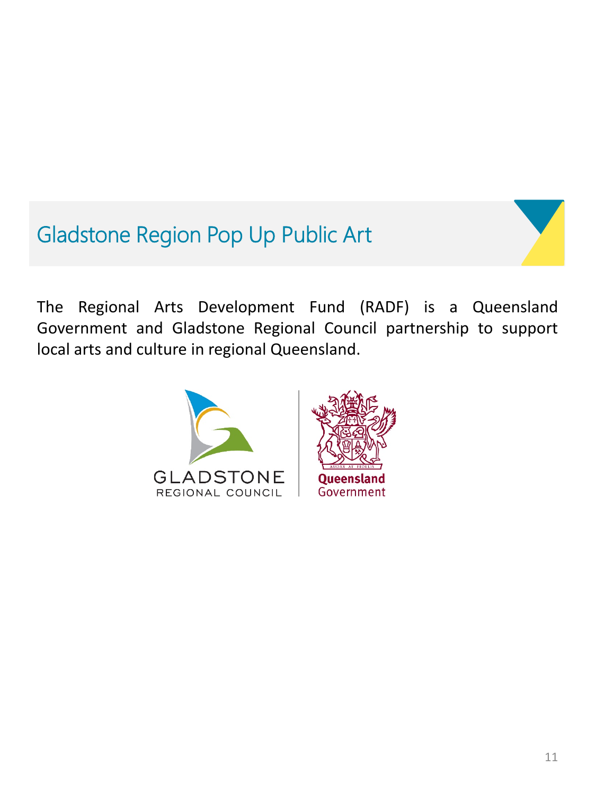## Gladstone Region Pop Up Public Art

The Regional Arts Development Fund (RADF) is a Queensland Government and Gladstone Regional Council partnership to support local arts and culture in regional Queensland.